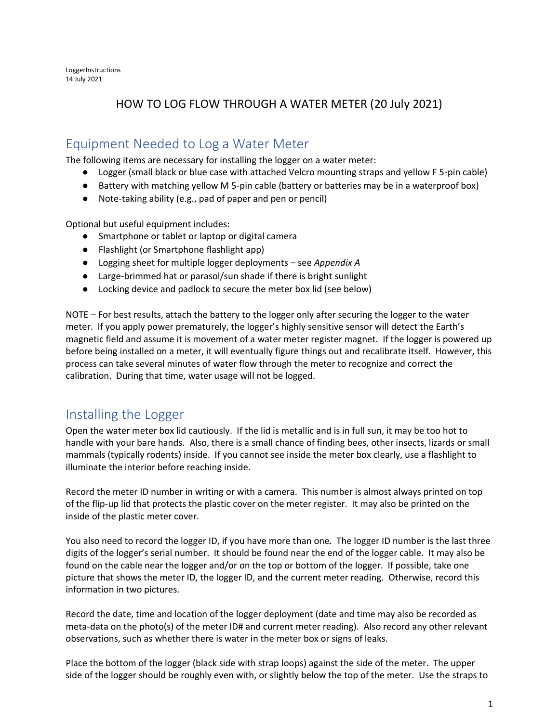LoggerInstructions 14 July 2021

#### HOW TO LOG FLOW THROUGH A WATER METER (20 July 2021)

#### Equipment Needed to Log a Water Meter

The following items are necessary for installing the logger on a water meter:

- Logger (small black or blue case with attached Velcro mounting straps and yellow F 5-pin cable)
- Battery with matching yellow M 5-pin cable (battery or batteries may be in a waterproof box)
- Note-taking ability (e.g., pad of paper and pen or pencil)

Optional but useful equipment includes:

- Smartphone or tablet or laptop or digital camera
- Flashlight (or Smartphone flashlight app)
- Logging sheet for multiple logger deployments see *Appendix A*
- Large-brimmed hat or parasol/sun shade if there is bright sunlight
- Locking device and padlock to secure the meter box lid (see below)

NOTE – For best results, attach the battery to the logger only after securing the logger to the water meter. If you apply power prematurely, the logger's highly sensitive sensor will detect the Earth's magnetic field and assume it is movement of a water meter register magnet. If the logger is powered up before being installed on a meter, it will eventually figure things out and recalibrate itself. However, this process can take several minutes of water flow through the meter to recognize and correct the calibration. During that time, water usage will not be logged.

#### Installing the Logger

Open the water meter box lid cautiously. If the lid is metallic and is in full sun, it may be too hot to handle with your bare hands. Also, there is a small chance of finding bees, other insects, lizards or small mammals (typically rodents) inside. If you cannot see inside the meter box clearly, use a flashlight to illuminate the interior before reaching inside.

Record the meter ID number in writing or with a camera. This number is almost always printed on top of the flip-up lid that protects the plastic cover on the meter register. It may also be printed on the inside of the plastic meter cover.

You also need to record the logger ID, if you have more than one. The logger ID number is the last three digits of the logger's serial number. It should be found near the end of the logger cable. It may also be found on the cable near the logger and/or on the top or bottom of the logger. If possible, take one picture that shows the meter ID, the logger ID, and the current meter reading. Otherwise, record this information in two pictures.

Record the date, time and location of the logger deployment (date and time may also be recorded as meta-data on the photo(s) of the meter ID# and current meter reading). Also record any other relevant observations, such as whether there is water in the meter box or signs of leaks.

Place the bottom of the logger (black side with strap loops) against the side of the meter. The upper side of the logger should be roughly even with, or slightly below the top of the meter. Use the straps to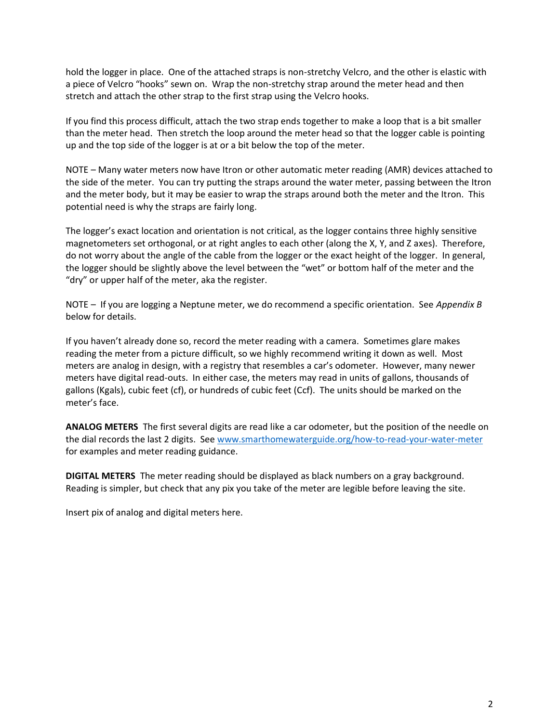hold the logger in place. One of the attached straps is non-stretchy Velcro, and the other is elastic with a piece of Velcro "hooks" sewn on. Wrap the non-stretchy strap around the meter head and then stretch and attach the other strap to the first strap using the Velcro hooks.

If you find this process difficult, attach the two strap ends together to make a loop that is a bit smaller than the meter head. Then stretch the loop around the meter head so that the logger cable is pointing up and the top side of the logger is at or a bit below the top of the meter.

NOTE – Many water meters now have Itron or other automatic meter reading (AMR) devices attached to the side of the meter. You can try putting the straps around the water meter, passing between the Itron and the meter body, but it may be easier to wrap the straps around both the meter and the Itron. This potential need is why the straps are fairly long.

The logger's exact location and orientation is not critical, as the logger contains three highly sensitive magnetometers set orthogonal, or at right angles to each other (along the X, Y, and Z axes). Therefore, do not worry about the angle of the cable from the logger or the exact height of the logger. In general, the logger should be slightly above the level between the "wet" or bottom half of the meter and the "dry" or upper half of the meter, aka the register.

NOTE – If you are logging a Neptune meter, we do recommend a specific orientation. See *Appendix B* below for details.

If you haven't already done so, record the meter reading with a camera. Sometimes glare makes reading the meter from a picture difficult, so we highly recommend writing it down as well. Most meters are analog in design, with a registry that resembles a car's odometer. However, many newer meters have digital read-outs. In either case, the meters may read in units of gallons, thousands of gallons (Kgals), cubic feet (cf), or hundreds of cubic feet (Ccf). The units should be marked on the meter's face.

**ANALOG METERS** The first several digits are read like a car odometer, but the position of the needle on the dial records the last 2 digits. See [www.smarthomewaterguide.org/how-to-read-your-water-meter](http://www.smarthomewaterguide.org/how-to-read-your-water-meter) for examples and meter reading guidance.

**DIGITAL METERS** The meter reading should be displayed as black numbers on a gray background. Reading is simpler, but check that any pix you take of the meter are legible before leaving the site.

Insert pix of analog and digital meters here.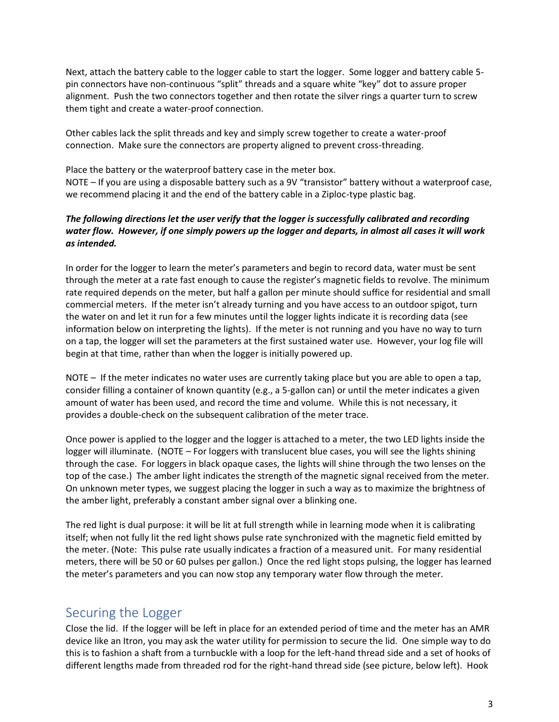Next, attach the battery cable to the logger cable to start the logger. Some logger and battery cable 5 pin connectors have non-continuous "split" threads and a square white "key" dot to assure proper alignment. Push the two connectors together and then rotate the silver rings a quarter turn to screw them tight and create a water-proof connection.

Other cables lack the split threads and key and simply screw together to create a water-proof connection. Make sure the connectors are property aligned to prevent cross-threading.

Place the battery or the waterproof battery case in the meter box.

NOTE – If you are using a disposable battery such as a 9V "transistor" battery without a waterproof case, we recommend placing it and the end of the battery cable in a Ziploc-type plastic bag.

#### *The following directions let the user verify that the logger is successfully calibrated and recording water flow. However, if one simply powers up the logger and departs, in almost all cases it will work as intended.*

In order for the logger to learn the meter's parameters and begin to record data, water must be sent through the meter at a rate fast enough to cause the register's magnetic fields to revolve. The minimum rate required depends on the meter, but half a gallon per minute should suffice for residential and small commercial meters. If the meter isn't already turning and you have access to an outdoor spigot, turn the water on and let it run for a few minutes until the logger lights indicate it is recording data (see information below on interpreting the lights). If the meter is not running and you have no way to turn on a tap, the logger will set the parameters at the first sustained water use. However, your log file will begin at that time, rather than when the logger is initially powered up.

NOTE – If the meter indicates no water uses are currently taking place but you are able to open a tap, consider filling a container of known quantity (e.g., a 5-gallon can) or until the meter indicates a given amount of water has been used, and record the time and volume. While this is not necessary, it provides a double-check on the subsequent calibration of the meter trace.

Once power is applied to the logger and the logger is attached to a meter, the two LED lights inside the logger will illuminate. (NOTE – For loggers with translucent blue cases, you will see the lights shining through the case. For loggers in black opaque cases, the lights will shine through the two lenses on the top of the case.) The amber light indicates the strength of the magnetic signal received from the meter. On unknown meter types, we suggest placing the logger in such a way as to maximize the brightness of the amber light, preferably a constant amber signal over a blinking one.

The red light is dual purpose: it will be lit at full strength while in learning mode when it is calibrating itself; when not fully lit the red light shows pulse rate synchronized with the magnetic field emitted by the meter. (Note: This pulse rate usually indicates a fraction of a measured unit. For many residential meters, there will be 50 or 60 pulses per gallon.) Once the red light stops pulsing, the logger has learned the meter's parameters and you can now stop any temporary water flow through the meter.

#### Securing the Logger

Close the lid. If the logger will be left in place for an extended period of time and the meter has an AMR device like an Itron, you may ask the water utility for permission to secure the lid. One simple way to do this is to fashion a shaft from a turnbuckle with a loop for the left-hand thread side and a set of hooks of different lengths made from threaded rod for the right-hand thread side (see picture, below left). Hook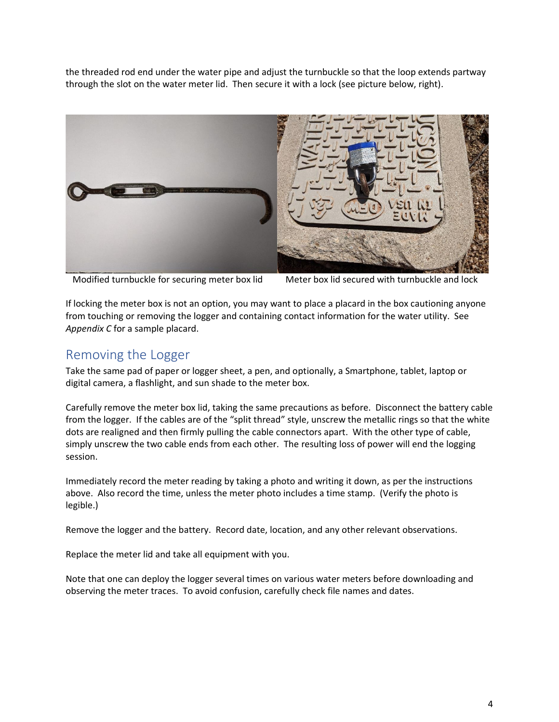the threaded rod end under the water pipe and adjust the turnbuckle so that the loop extends partway through the slot on the water meter lid. Then secure it with a lock (see picture below, right).



Modified turnbuckle for securing meter box lid Meter box lid secured with turnbuckle and lock

If locking the meter box is not an option, you may want to place a placard in the box cautioning anyone from touching or removing the logger and containing contact information for the water utility. See *Appendix C* for a sample placard.

#### Removing the Logger

Take the same pad of paper or logger sheet, a pen, and optionally, a Smartphone, tablet, laptop or digital camera, a flashlight, and sun shade to the meter box.

Carefully remove the meter box lid, taking the same precautions as before. Disconnect the battery cable from the logger. If the cables are of the "split thread" style, unscrew the metallic rings so that the white dots are realigned and then firmly pulling the cable connectors apart. With the other type of cable, simply unscrew the two cable ends from each other. The resulting loss of power will end the logging session.

Immediately record the meter reading by taking a photo and writing it down, as per the instructions above. Also record the time, unless the meter photo includes a time stamp. (Verify the photo is legible.)

Remove the logger and the battery. Record date, location, and any other relevant observations.

Replace the meter lid and take all equipment with you.

Note that one can deploy the logger several times on various water meters before downloading and observing the meter traces. To avoid confusion, carefully check file names and dates.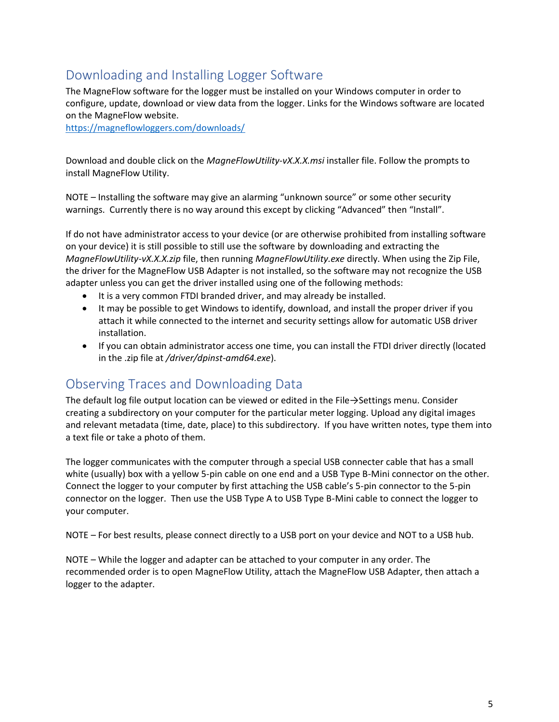## Downloading and Installing Logger Software

The MagneFlow software for the logger must be installed on your Windows computer in order to configure, update, download or view data from the logger. Links for the Windows software are located on the MagneFlow website.

<https://magneflowloggers.com/downloads/>

Download and double click on the *MagneFlowUtility-vX.X.X.msi* installer file. Follow the prompts to install MagneFlow Utility.

NOTE – Installing the software may give an alarming "unknown source" or some other security warnings. Currently there is no way around this except by clicking "Advanced" then "Install".

If do not have administrator access to your device (or are otherwise prohibited from installing software on your device) it is still possible to still use the software by downloading and extracting the *MagneFlowUtility-vX.X.X.zip* file, then running *MagneFlowUtility.exe* directly. When using the Zip File, the driver for the MagneFlow USB Adapter is not installed, so the software may not recognize the USB adapter unless you can get the driver installed using one of the following methods:

- It is a very common FTDI branded driver, and may already be installed.
- It may be possible to get Windows to identify, download, and install the proper driver if you attach it while connected to the internet and security settings allow for automatic USB driver installation.
- If you can obtain administrator access one time, you can install the FTDI driver directly (located in the .zip file at */driver/dpinst-amd64.exe*).

#### Observing Traces and Downloading Data

The default log file output location can be viewed or edited in the File→Settings menu. Consider creating a subdirectory on your computer for the particular meter logging. Upload any digital images and relevant metadata (time, date, place) to this subdirectory. If you have written notes, type them into a text file or take a photo of them.

The logger communicates with the computer through a special USB connecter cable that has a small white (usually) box with a yellow 5-pin cable on one end and a USB Type B-Mini connector on the other. Connect the logger to your computer by first attaching the USB cable's 5-pin connector to the 5-pin connector on the logger. Then use the USB Type A to USB Type B-Mini cable to connect the logger to your computer.

NOTE – For best results, please connect directly to a USB port on your device and NOT to a USB hub.

NOTE – While the logger and adapter can be attached to your computer in any order. The recommended order is to open MagneFlow Utility, attach the MagneFlow USB Adapter, then attach a logger to the adapter.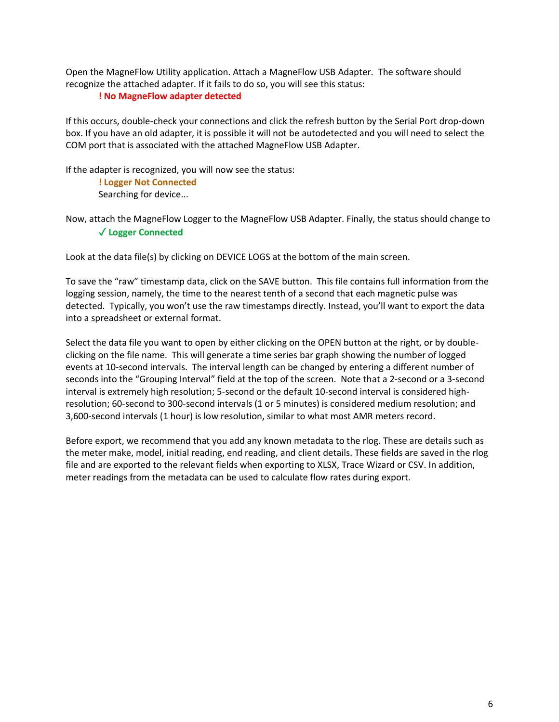Open the MagneFlow Utility application. Attach a MagneFlow USB Adapter. The software should recognize the attached adapter. If it fails to do so, you will see this status:

#### **! No MagneFlow adapter detected**

If this occurs, double-check your connections and click the refresh button by the Serial Port drop-down box. If you have an old adapter, it is possible it will not be autodetected and you will need to select the COM port that is associated with the attached MagneFlow USB Adapter.

If the adapter is recognized, you will now see the status:

**! Logger Not Connected** Searching for device...

Now, attach the MagneFlow Logger to the MagneFlow USB Adapter. Finally, the status should change to ✓ **Logger Connected**

Look at the data file(s) by clicking on DEVICE LOGS at the bottom of the main screen.

To save the "raw" timestamp data, click on the SAVE button. This file contains full information from the logging session, namely, the time to the nearest tenth of a second that each magnetic pulse was detected. Typically, you won't use the raw timestamps directly. Instead, you'll want to export the data into a spreadsheet or external format.

Select the data file you want to open by either clicking on the OPEN button at the right, or by doubleclicking on the file name. This will generate a time series bar graph showing the number of logged events at 10-second intervals. The interval length can be changed by entering a different number of seconds into the "Grouping Interval" field at the top of the screen. Note that a 2-second or a 3-second interval is extremely high resolution; 5-second or the default 10-second interval is considered highresolution; 60-second to 300-second intervals (1 or 5 minutes) is considered medium resolution; and 3,600-second intervals (1 hour) is low resolution, similar to what most AMR meters record.

Before export, we recommend that you add any known metadata to the rlog. These are details such as the meter make, model, initial reading, end reading, and client details. These fields are saved in the rlog file and are exported to the relevant fields when exporting to XLSX, Trace Wizard or CSV. In addition, meter readings from the metadata can be used to calculate flow rates during export.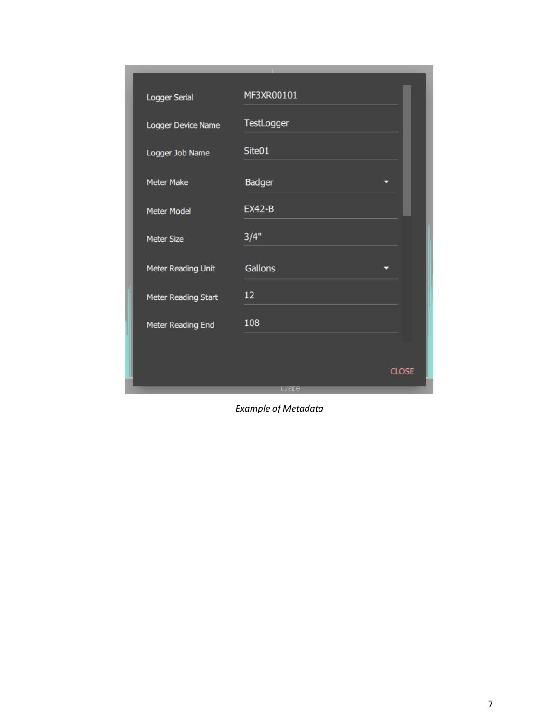| Logger Serial       | MF3XR00101    |
|---------------------|---------------|
| Logger Device Name  | TestLogger    |
| Logger Job Name     | Site01        |
| <b>Meter Make</b>   | <b>Badger</b> |
| <b>Meter Model</b>  | <b>EX42-B</b> |
| <b>Meter Size</b>   | 3/4"          |
| Meter Reading Unit  | Gallons       |
| Meter Reading Start | 12            |
| Meter Reading End   | 108           |
|                     |               |
|                     | <b>CLOSE</b>  |
|                     | Date          |

*Example of Metadata*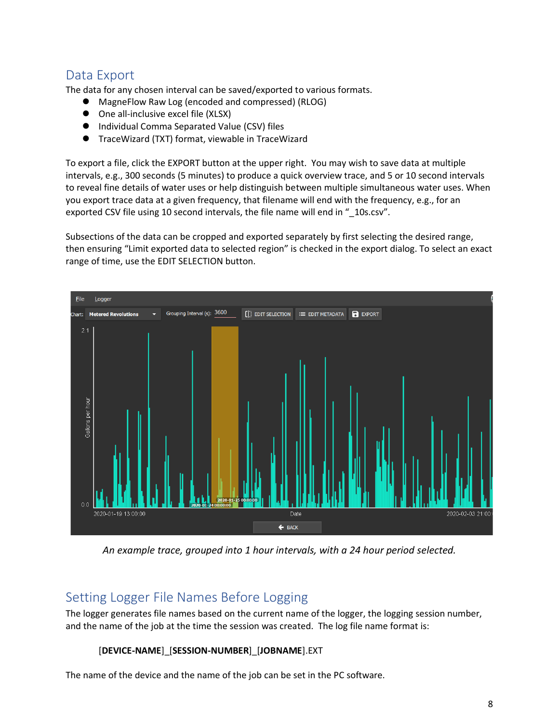### Data Export

The data for any chosen interval can be saved/exported to various formats.

- MagneFlow Raw Log (encoded and compressed) (RLOG)
- One all-inclusive excel file (XLSX)
- Individual Comma Separated Value (CSV) files
- ⚫ TraceWizard (TXT) format, viewable in TraceWizard

To export a file, click the EXPORT button at the upper right. You may wish to save data at multiple intervals, e.g., 300 seconds (5 minutes) to produce a quick overview trace, and 5 or 10 second intervals to reveal fine details of water uses or help distinguish between multiple simultaneous water uses. When you export trace data at a given frequency, that filename will end with the frequency, e.g., for an exported CSV file using 10 second intervals, the file name will end in "\_10s.csv".

Subsections of the data can be cropped and exported separately by first selecting the desired range, then ensuring "Limit exported data to selected region" is checked in the export dialog. To select an exact range of time, use the EDIT SELECTION button.



*An example trace, grouped into 1 hour intervals, with a 24 hour period selected.*

#### Setting Logger File Names Before Logging

The logger generates file names based on the current name of the logger, the logging session number, and the name of the job at the time the session was created. The log file name format is:

#### [**DEVICE-NAME**]\_[**SESSION-NUMBER**]\_[**JOBNAME**].EXT

The name of the device and the name of the job can be set in the PC software.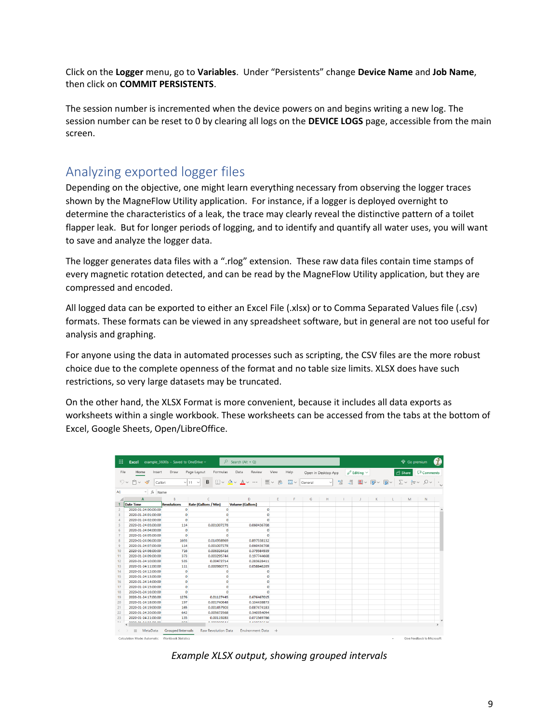Click on the **Logger** menu, go to **Variables**. Under "Persistents" change **Device Name** and **Job Name**, then click on **COMMIT PERSISTENTS**.

The session number is incremented when the device powers on and begins writing a new log. The session number can be reset to 0 by clearing all logs on the **DEVICE LOGS** page, accessible from the main screen.

#### Analyzing exported logger files

Depending on the objective, one might learn everything necessary from observing the logger traces shown by the MagneFlow Utility application. For instance, if a logger is deployed overnight to determine the characteristics of a leak, the trace may clearly reveal the distinctive pattern of a toilet flapper leak. But for longer periods of logging, and to identify and quantify all water uses, you will want to save and analyze the logger data.

The logger generates data files with a ".rlog" extension. These raw data files contain time stamps of every magnetic rotation detected, and can be read by the MagneFlow Utility application, but they are compressed and encoded.

All logged data can be exported to either an Excel File (.xlsx) or to Comma Separated Values file (.csv) formats. These formats can be viewed in any spreadsheet software, but in general are not too useful for analysis and graphing.

For anyone using the data in automated processes such as scripting, the CSV files are the more robust choice due to the complete openness of the format and no table size limits. XLSX does have such restrictions, so very large datasets may be truncated.

On the other hand, the XLSX Format is more convenient, because it includes all data exports as worksheets within a single workbook. These worksheets can be accessed from the tabs at the bottom of Excel, Google Sheets, Open/LibreOffice.

| 曲                                                                                            | <b>Excel</b>                           | example_3600s - Saved to OneDrive ~ | $\Omega$                       | Search (Alt + Q)                          |         |      |         |                     |                                     |                              |   |    | <b>V</b> Go premium |          | $\bullet$ |
|----------------------------------------------------------------------------------------------|----------------------------------------|-------------------------------------|--------------------------------|-------------------------------------------|---------|------|---------|---------------------|-------------------------------------|------------------------------|---|----|---------------------|----------|-----------|
| File                                                                                         | Home<br>Insert                         | Draw                                | Page Layout<br>Formulas        | Data<br>Review                            | View    | Help |         | Open in Desktop App |                                     | $\mathscr{O}$ Editing $\sim$ |   |    | <b>In Share</b>     | Comments |           |
|                                                                                              | $\cup$<br>$M \vee$<br>$\ll$<br>Calibri |                                     | В<br>$\vee$ 11<br>$\checkmark$ | $\mathbb{H} \times \& \vee A \vee \cdots$ | Ξ~<br>悲 | 国。   | General | $\checkmark$        | $^{0.00}_{0.00}$<br>$\frac{6}{100}$ | $\mathbf{E}$ $\sim$          |   |    |                     | Q        |           |
| A1                                                                                           | $\frac{1}{x}$ Name                     |                                     |                                |                                           |         |      |         |                     |                                     |                              |   |    |                     |          |           |
|                                                                                              | A                                      | B                                   | c                              | D                                         | E.      | F.   | G       | н                   | т.                                  | т.                           | ĸ | L. | M                   | N        |           |
|                                                                                              | Date Time                              | <b>Revolutions</b>                  | Rate (Gallons / Min)           | <b>Volume (Gallons)</b>                   |         |      |         |                     |                                     |                              |   |    |                     |          |           |
| $\overline{2}$                                                                               | 2020-01-24 00:00:00                    | $\bullet$                           | $\mathbf{0}$                   | $\Omega$                                  |         |      |         |                     |                                     |                              |   |    |                     |          | $\land$   |
| 3                                                                                            | 2020-01-24 01:00:00                    | $\bullet$                           | $\mathbf 0$                    | $\Omega$                                  |         |      |         |                     |                                     |                              |   |    |                     |          |           |
| 4                                                                                            | 2020-01-24 02:00:00                    | $\Omega$                            | $\Omega$                       | $\Omega$                                  |         |      |         |                     |                                     |                              |   |    |                     |          |           |
| 5                                                                                            | 2020-01-24 03:00:00                    | 114                                 | 0.001007278                    | 0.060436708                               |         |      |         |                     |                                     |                              |   |    |                     |          |           |
| 6                                                                                            | 2020-01-24 04:00:00                    | $\Omega$                            | $\circ$                        | $\bullet$                                 |         |      |         |                     |                                     |                              |   |    |                     |          |           |
| $\overline{7}$                                                                               | 2020-01-24 05:00:00                    | $\bullet$                           | $\Omega$                       | $\Omega$                                  |         |      |         |                     |                                     |                              |   |    |                     |          |           |
| 8                                                                                            | 2020-01-24 06:00:00                    | 1693                                | 0.014958969                    | 0.897538132                               |         |      |         |                     |                                     |                              |   |    |                     |          |           |
| $\overline{9}$                                                                               | 2020-01-24 07:00:00                    | 114                                 | 0.001007278                    | 0.060436708                               |         |      |         |                     |                                     |                              |   |    |                     |          |           |
| 10                                                                                           | 2020-01-24 08:00:00                    | 716                                 | 0.006326416                    | 0.379584939                               |         |      |         |                     |                                     |                              |   |    |                     |          |           |
| 11                                                                                           | 2020-01-24 09:00:00                    | 373                                 | 0.003295744                    | 0.197744668                               |         |      |         |                     |                                     |                              |   |    |                     |          |           |
| 12                                                                                           | 2020-01-24 10:00:00                    | 535                                 | 0.00472714                     | 0.283628411                               |         |      |         |                     |                                     |                              |   |    |                     |          |           |
| 13                                                                                           | 2020-01-24 11:00:00                    | 111                                 | 0.000980771                    | 0.058846269                               |         |      |         |                     |                                     |                              |   |    |                     |          |           |
| 14                                                                                           | 2020-01-24 12:00:00                    | $\bullet$                           | $\circ$                        | $\bullet$                                 |         |      |         |                     |                                     |                              |   |    |                     |          |           |
| 15                                                                                           | 2020-01-24 13:00:00                    | $\bullet$                           | $\Omega$                       | $\Omega$                                  |         |      |         |                     |                                     |                              |   |    |                     |          |           |
| 16                                                                                           | 2020-01-24 14:00:00                    | $\bullet$                           | $\circ$                        | $\bullet$                                 |         |      |         |                     |                                     |                              |   |    |                     |          |           |
| 17                                                                                           | 2020-01-24 15:00:00                    | $\bullet$                           | $\circ$                        | $\Omega$                                  |         |      |         |                     |                                     |                              |   |    |                     |          |           |
| 18                                                                                           | 2020-01-24 16:00:00                    | $\bullet$                           | $\Omega$                       | $\Omega$                                  |         |      |         |                     |                                     |                              |   |    |                     |          |           |
| 19                                                                                           | 2020-01-24 17:00:00                    | 1276                                | 0.01127445                     | 0.676467015                               |         |      |         |                     |                                     |                              |   |    |                     |          |           |
| 20                                                                                           | 2020-01-24 18:00:00                    | 197                                 | 0.001740648                    | 0.104438873                               |         |      |         |                     |                                     |                              |   |    |                     |          |           |
| 21                                                                                           | 2020-01-24 19:00:00                    | 165                                 | 0.001457903                    | 0.087474183                               |         |      |         |                     |                                     |                              |   |    |                     |          |           |
| 22                                                                                           | 2020-01-24 20:00:00                    | 642                                 | 0.005672568                    | 0.340354094                               |         |      |         |                     |                                     |                              |   |    |                     |          |           |
| 23                                                                                           | 2020-01-24 21:00:00                    | 135                                 | 0.00119283                     | 0.071569786                               |         |      |         |                     |                                     |                              |   |    |                     |          |           |
| $\sim$ $\sim$                                                                                | **** ** **** ** **<br>k                | 500                                 | 0.00000001                     | 10000000000                               |         |      |         |                     |                                     |                              |   |    |                     |          | $\lambda$ |
| $\left\langle \quad \right\rangle$                                                           | MetaData<br>$\equiv$                   | <b>Grouped Intervals</b>            | <b>Raw Revolution Data</b>     | <b>Environment Data</b>                   | $+$     |      |         |                     |                                     |                              |   |    |                     |          |           |
| Calculation Mode: Automatic<br><b>Workbook Statistics</b><br>Give Feedback to Microsoft<br>٠ |                                        |                                     |                                |                                           |         |      |         |                     |                                     |                              |   |    |                     |          |           |

*Example XLSX output, showing grouped intervals*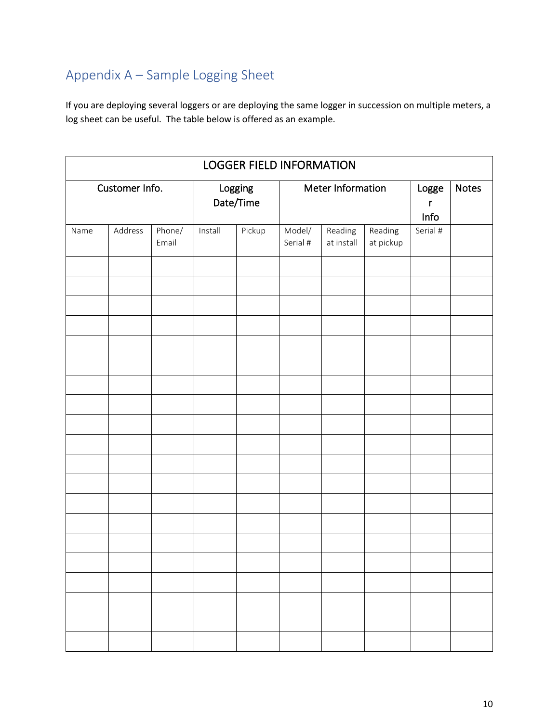## Appendix A – Sample Logging Sheet

If you are deploying several loggers or are deploying the same logger in succession on multiple meters, a log sheet can be useful. The table below is offered as an example.

| <b>LOGGER FIELD INFORMATION</b> |                            |  |                      |  |                                             |                   |                      |              |  |  |  |  |
|---------------------------------|----------------------------|--|----------------------|--|---------------------------------------------|-------------------|----------------------|--------------|--|--|--|--|
|                                 | Customer Info.             |  | Logging<br>Date/Time |  |                                             | Meter Information | Logge<br>r<br>Info   | <b>Notes</b> |  |  |  |  |
| Name                            | Address<br>Phone/<br>Email |  | Pickup<br>Install    |  | Model/<br>Reading<br>Serial #<br>at install |                   | Reading<br>at pickup | Serial #     |  |  |  |  |
|                                 |                            |  |                      |  |                                             |                   |                      |              |  |  |  |  |
|                                 |                            |  |                      |  |                                             |                   |                      |              |  |  |  |  |
|                                 |                            |  |                      |  |                                             |                   |                      |              |  |  |  |  |
|                                 |                            |  |                      |  |                                             |                   |                      |              |  |  |  |  |
|                                 |                            |  |                      |  |                                             |                   |                      |              |  |  |  |  |
|                                 |                            |  |                      |  |                                             |                   |                      |              |  |  |  |  |
|                                 |                            |  |                      |  |                                             |                   |                      |              |  |  |  |  |
|                                 |                            |  |                      |  |                                             |                   |                      |              |  |  |  |  |
|                                 |                            |  |                      |  |                                             |                   |                      |              |  |  |  |  |
|                                 |                            |  |                      |  |                                             |                   |                      |              |  |  |  |  |
|                                 |                            |  |                      |  |                                             |                   |                      |              |  |  |  |  |
|                                 |                            |  |                      |  |                                             |                   |                      |              |  |  |  |  |
|                                 |                            |  |                      |  |                                             |                   |                      |              |  |  |  |  |
|                                 |                            |  |                      |  |                                             |                   |                      |              |  |  |  |  |
|                                 |                            |  |                      |  |                                             |                   |                      |              |  |  |  |  |
|                                 |                            |  |                      |  |                                             |                   |                      |              |  |  |  |  |
|                                 |                            |  |                      |  |                                             |                   |                      |              |  |  |  |  |
|                                 |                            |  |                      |  |                                             |                   |                      |              |  |  |  |  |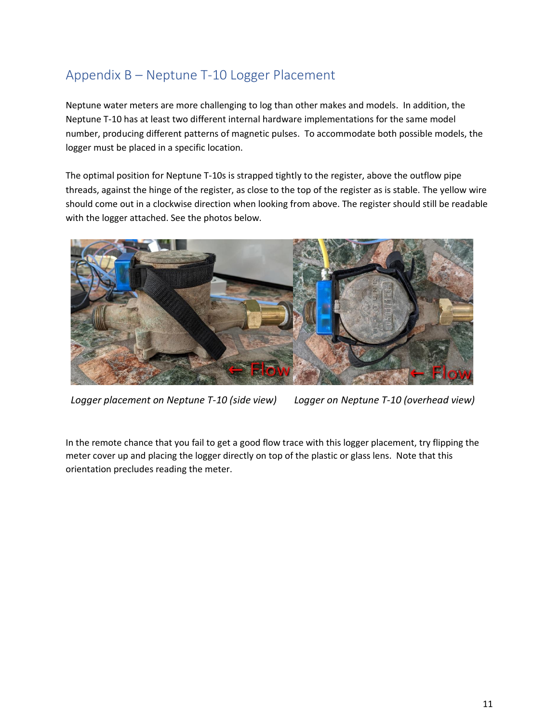## Appendix B – Neptune T-10 Logger Placement

Neptune water meters are more challenging to log than other makes and models. In addition, the Neptune T-10 has at least two different internal hardware implementations for the same model number, producing different patterns of magnetic pulses. To accommodate both possible models, the logger must be placed in a specific location.

The optimal position for Neptune T-10s is strapped tightly to the register, above the outflow pipe threads, against the hinge of the register, as close to the top of the register as is stable. The yellow wire should come out in a clockwise direction when looking from above. The register should still be readable with the logger attached. See the photos below.



*Logger placement on Neptune T-10 (side view) Logger on Neptune T-10 (overhead view)*

In the remote chance that you fail to get a good flow trace with this logger placement, try flipping the meter cover up and placing the logger directly on top of the plastic or glass lens. Note that this orientation precludes reading the meter.